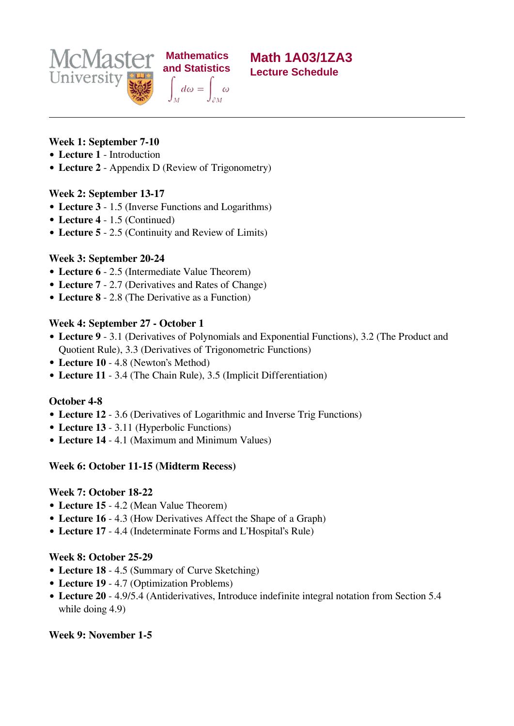



## **Week 1: September 7-10**

- **Lecture 1** Introduction
- **Lecture 2** Appendix D (Review of Trigonometry)

 **Mathematics**

## **Week 2: September 13-17**

- **Lecture 3** 1.5 (Inverse Functions and Logarithms)
- **Lecture 4** 1.5 (Continued)
- **Lecture 5** 2.5 (Continuity and Review of Limits)

## **Week 3: September 20-24**

- **Lecture 6** 2.5 (Intermediate Value Theorem)
- **Lecture 7** 2.7 (Derivatives and Rates of Change)
- **Lecture 8** 2.8 (The Derivative as a Function)

## **Week 4: September 27 - October 1**

- **Lecture 9** 3.1 (Derivatives of Polynomials and Exponential Functions), 3.2 (The Product and Quotient Rule), 3.3 (Derivatives of Trigonometric Functions)
- **Lecture 10** 4.8 (Newton's Method)
- **Lecture 11** 3.4 (The Chain Rule), 3.5 (Implicit Differentiation)

#### **October 4-8**

- **Lecture 12** 3.6 (Derivatives of Logarithmic and Inverse Trig Functions)
- **Lecture 13** 3.11 (Hyperbolic Functions)
- **Lecture 14** 4.1 (Maximum and Minimum Values)

#### **Week 6: October 11-15 (Midterm Recess)**

#### **Week 7: October 18-22**

- **Lecture 15** 4.2 (Mean Value Theorem)
- **Lecture 16** 4.3 (How Derivatives Affect the Shape of a Graph)
- **Lecture 17** 4.4 (Indeterminate Forms and L'Hospital's Rule)

#### **Week 8: October 25-29**

- **Lecture 18** 4.5 (Summary of Curve Sketching)
- **Lecture 19** 4.7 (Optimization Problems)
- **Lecture 20** 4.9/5.4 (Antiderivatives, Introduce indefinite integral notation from Section 5.4 while doing 4.9)

# **Week 9: November 1-5**